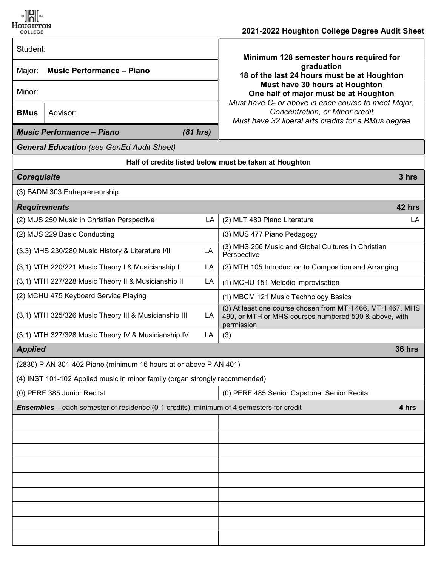

## $\frac{1}{2021}$   $\frac{1}{2021}$  and  $\frac{1}{2021}$  and  $\frac{1}{2021}$  and  $\frac{1}{2021}$  and  $\frac{1}{2021}$  and  $\frac{1}{2021}$  and  $\frac{1}{2021}$  and  $\frac{1}{2021}$  and  $\frac{1}{2021}$  and  $\frac{1}{2021}$  and  $\frac{1}{2021}$  and  $\frac{1}{2021}$  and  $\frac{$

| culleue                                                                                                 | 2021-2022 HOUGHLOH OUILGUE DEGLEE AUGHT ONEE                                                                                                                                                |  |
|---------------------------------------------------------------------------------------------------------|---------------------------------------------------------------------------------------------------------------------------------------------------------------------------------------------|--|
| Student:                                                                                                | Minimum 128 semester hours required for                                                                                                                                                     |  |
| <b>Music Performance - Piano</b><br>Major:                                                              | graduation<br>18 of the last 24 hours must be at Houghton<br>Must have 30 hours at Houghton<br>One half of major must be at Houghton<br>Must have C- or above in each course to meet Major, |  |
| Minor:                                                                                                  |                                                                                                                                                                                             |  |
| <b>BMus</b><br>Advisor:                                                                                 | Concentration, or Minor credit<br>Must have 32 liberal arts credits for a BMus degree                                                                                                       |  |
| (81 hrs)<br><b>Music Performance - Piano</b>                                                            |                                                                                                                                                                                             |  |
| <b>General Education</b> (see GenEd Audit Sheet)                                                        |                                                                                                                                                                                             |  |
| Half of credits listed below must be taken at Houghton                                                  |                                                                                                                                                                                             |  |
| <b>Corequisite</b>                                                                                      | 3 hrs                                                                                                                                                                                       |  |
| (3) BADM 303 Entrepreneurship                                                                           |                                                                                                                                                                                             |  |
| <b>Requirements</b>                                                                                     | 42 hrs                                                                                                                                                                                      |  |
| (2) MUS 250 Music in Christian Perspective<br>LA                                                        | (2) MLT 480 Piano Literature<br>LA                                                                                                                                                          |  |
| (2) MUS 229 Basic Conducting                                                                            | (3) MUS 477 Piano Pedagogy                                                                                                                                                                  |  |
| LA<br>(3,3) MHS 230/280 Music History & Literature I/II                                                 | (3) MHS 256 Music and Global Cultures in Christian<br>Perspective                                                                                                                           |  |
| (3,1) MTH 220/221 Music Theory I & Musicianship I<br>LA                                                 | (2) MTH 105 Introduction to Composition and Arranging                                                                                                                                       |  |
| (3,1) MTH 227/228 Music Theory II & Musicianship II<br>LA                                               | (1) MCHU 151 Melodic Improvisation                                                                                                                                                          |  |
| (2) MCHU 475 Keyboard Service Playing                                                                   | (1) MBCM 121 Music Technology Basics                                                                                                                                                        |  |
| (3,1) MTH 325/326 Music Theory III & Musicianship III<br>LA                                             | (3) At least one course chosen from MTH 466, MTH 467, MHS<br>490, or MTH or MHS courses numbered 500 & above, with<br>permission                                                            |  |
| (3,1) MTH 327/328 Music Theory IV & Musicianship IV<br>LA                                               | (3)                                                                                                                                                                                         |  |
| <b>Applied</b>                                                                                          | <b>36 hrs</b>                                                                                                                                                                               |  |
| (2830) PIAN 301-402 Piano (minimum 16 hours at or above PIAN 401)                                       |                                                                                                                                                                                             |  |
| (4) INST 101-102 Applied music in minor family (organ strongly recommended)                             |                                                                                                                                                                                             |  |
| (0) PERF 385 Junior Recital                                                                             | (0) PERF 485 Senior Capstone: Senior Recital                                                                                                                                                |  |
| <b>Ensembles</b> – each semester of residence (0-1 credits), minimum of 4 semesters for credit<br>4 hrs |                                                                                                                                                                                             |  |
|                                                                                                         |                                                                                                                                                                                             |  |
|                                                                                                         |                                                                                                                                                                                             |  |
|                                                                                                         |                                                                                                                                                                                             |  |
|                                                                                                         |                                                                                                                                                                                             |  |
|                                                                                                         |                                                                                                                                                                                             |  |
|                                                                                                         |                                                                                                                                                                                             |  |
|                                                                                                         |                                                                                                                                                                                             |  |
|                                                                                                         |                                                                                                                                                                                             |  |